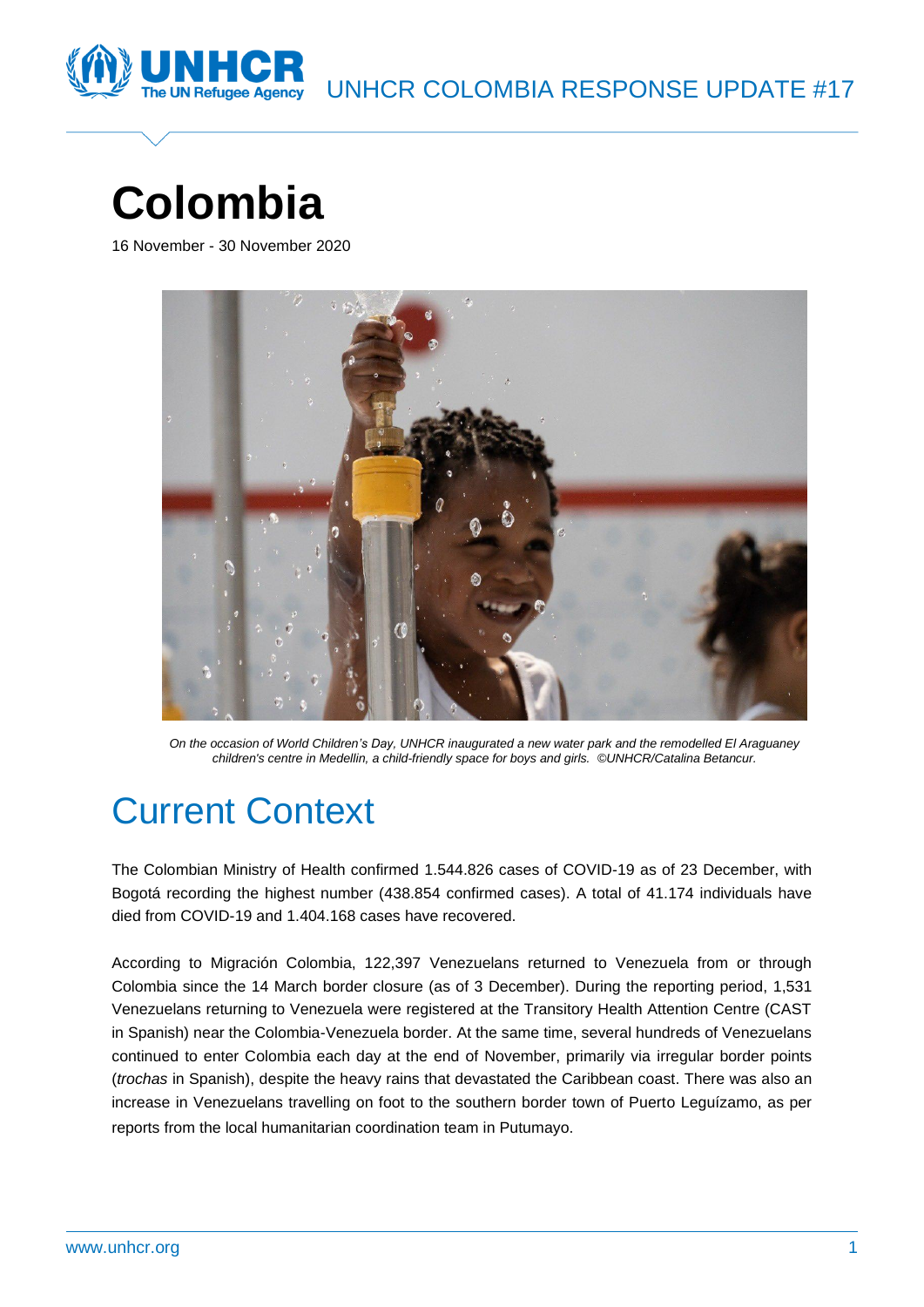

# **Colombia**

16 November - 30 November 2020



*On the occasion of World Children's Day, UNHCR inaugurated a new water park and the remodelled El Araguaney children's centre in Medellin, a child-friendly space for boys and girls. ©UNHCR/Catalina Betancur.*

# Current Context

The Colombian Ministry of Health confirmed 1.544.826 cases of COVID-19 as of 23 December, with Bogotá recording the highest number (438.854 confirmed cases). A total of 41.174 individuals have died from COVID-19 and 1.404.168 cases have recovered.

According to Migración Colombia, 122,397 Venezuelans returned to Venezuela from or through Colombia since the 14 March border closure (as of 3 December). During the reporting period, 1,531 Venezuelans returning to Venezuela were registered at the Transitory Health Attention Centre (CAST in Spanish) near the Colombia-Venezuela border. At the same time, several hundreds of Venezuelans continued to enter Colombia each day at the end of November, primarily via irregular border points (*trochas* in Spanish), despite the heavy rains that devastated the Caribbean coast. There was also an increase in Venezuelans travelling on foot to the southern border town of Puerto Leguízamo, as per reports from the local humanitarian coordination team in Putumayo.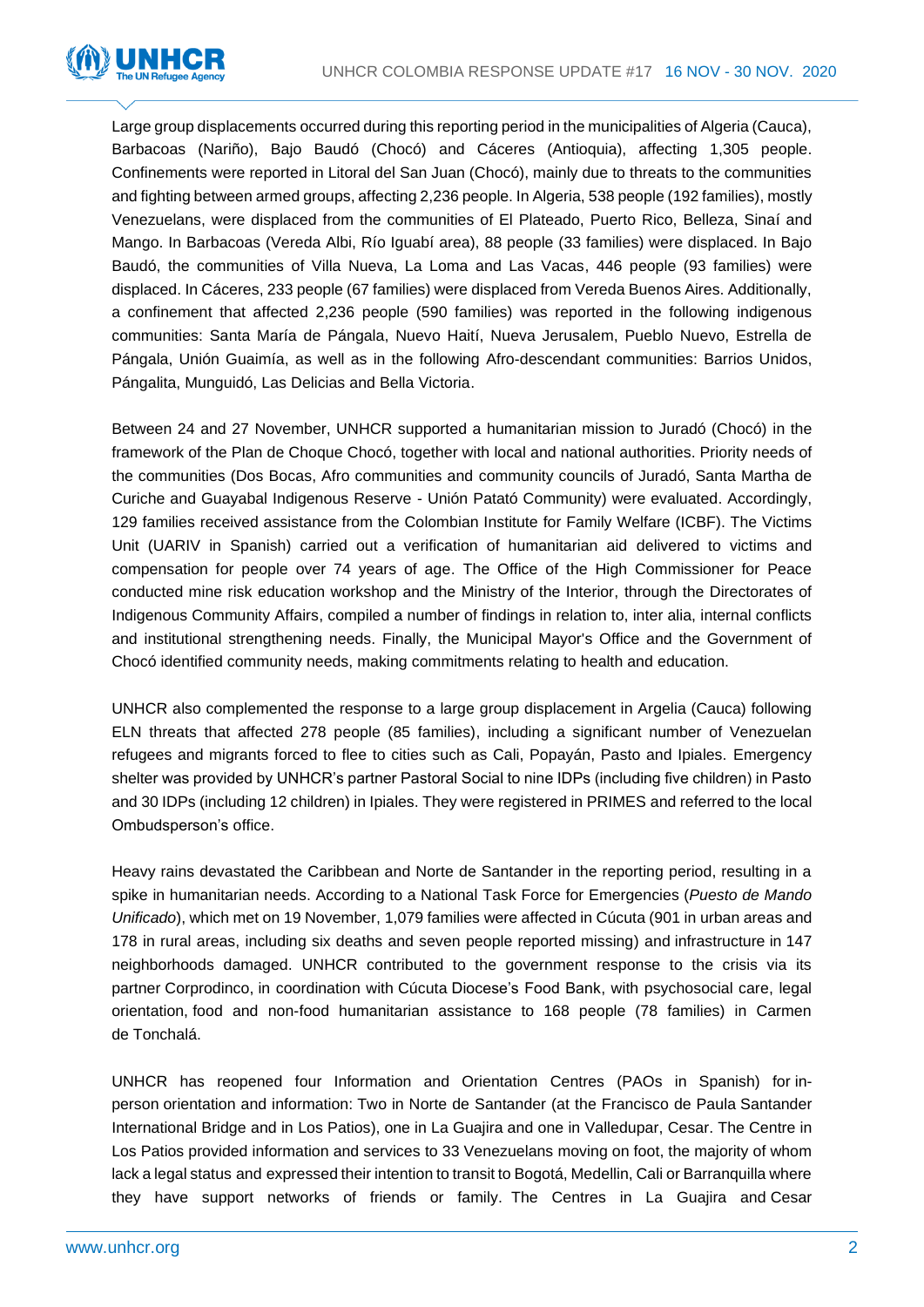

Large group displacements occurred during this reporting period in the municipalities of Algeria (Cauca), Barbacoas (Nariño), Bajo Baudó (Chocó) and Cáceres (Antioquia), affecting 1,305 people. Confinements were reported in Litoral del San Juan (Chocó), mainly due to threats to the communities and fighting between armed groups, affecting 2,236 people. In Algeria, 538 people (192 families), mostly Venezuelans, were displaced from the communities of El Plateado, Puerto Rico, Belleza, Sinaí and Mango. In Barbacoas (Vereda Albi, Río Iguabí area), 88 people (33 families) were displaced. In Bajo Baudó, the communities of Villa Nueva, La Loma and Las Vacas, 446 people (93 families) were displaced. In Cáceres, 233 people (67 families) were displaced from Vereda Buenos Aires. Additionally, a confinement that affected 2,236 people (590 families) was reported in the following indigenous communities: Santa María de Pángala, Nuevo Haití, Nueva Jerusalem, Pueblo Nuevo, Estrella de Pángala, Unión Guaimía, as well as in the following Afro-descendant communities: Barrios Unidos, Pángalita, Munguidó, Las Delicias and Bella Victoria.

Between 24 and 27 November, UNHCR supported a humanitarian mission to Juradó (Chocó) in the framework of the Plan de Choque Chocó, together with local and national authorities. Priority needs of the communities (Dos Bocas, Afro communities and community councils of Juradó, Santa Martha de Curiche and Guayabal Indigenous Reserve - Unión Patató Community) were evaluated. Accordingly, 129 families received assistance from the Colombian Institute for Family Welfare (ICBF). The Victims Unit (UARIV in Spanish) carried out a verification of humanitarian aid delivered to victims and compensation for people over 74 years of age. The Office of the High Commissioner for Peace conducted mine risk education workshop and the Ministry of the Interior, through the Directorates of Indigenous Community Affairs, compiled a number of findings in relation to, inter alia, internal conflicts and institutional strengthening needs. Finally, the Municipal Mayor's Office and the Government of Chocó identified community needs, making commitments relating to health and education.

UNHCR also complemented the response to a large group displacement in Argelia (Cauca) following ELN threats that affected 278 people (85 families), including a significant number of Venezuelan refugees and migrants forced to flee to cities such as Cali, Popayán, Pasto and Ipiales. Emergency shelter was provided by UNHCR's partner Pastoral Social to nine IDPs (including five children) in Pasto and 30 IDPs (including 12 children) in Ipiales. They were registered in PRIMES and referred to the local Ombudsperson's office.

Heavy rains devastated the Caribbean and Norte de Santander in the reporting period, resulting in a spike in humanitarian needs. According to a National Task Force for Emergencies (*Puesto de Mando Unificado*), which met on 19 November, 1,079 families were affected in Cúcuta (901 in urban areas and 178 in rural areas, including six deaths and seven people reported missing) and infrastructure in 147 neighborhoods damaged. UNHCR contributed to the government response to the crisis via its partner Corprodinco, in coordination with Cúcuta Diocese's Food Bank, with psychosocial care, legal orientation, food and non-food humanitarian assistance to 168 people (78 families) in Carmen de Tonchalá.

UNHCR has reopened four Information and Orientation Centres (PAOs in Spanish) for inperson orientation and information: Two in Norte de Santander (at the Francisco de Paula Santander International Bridge and in Los Patios), one in La Guajira and one in Valledupar, Cesar. The Centre in Los Patios provided information and services to 33 Venezuelans moving on foot, the majority of whom lack a legal status and expressed their intention to transit to Bogotá, Medellin, Cali or Barranquilla where they have support networks of friends or family. The Centres in La Guajira and Cesar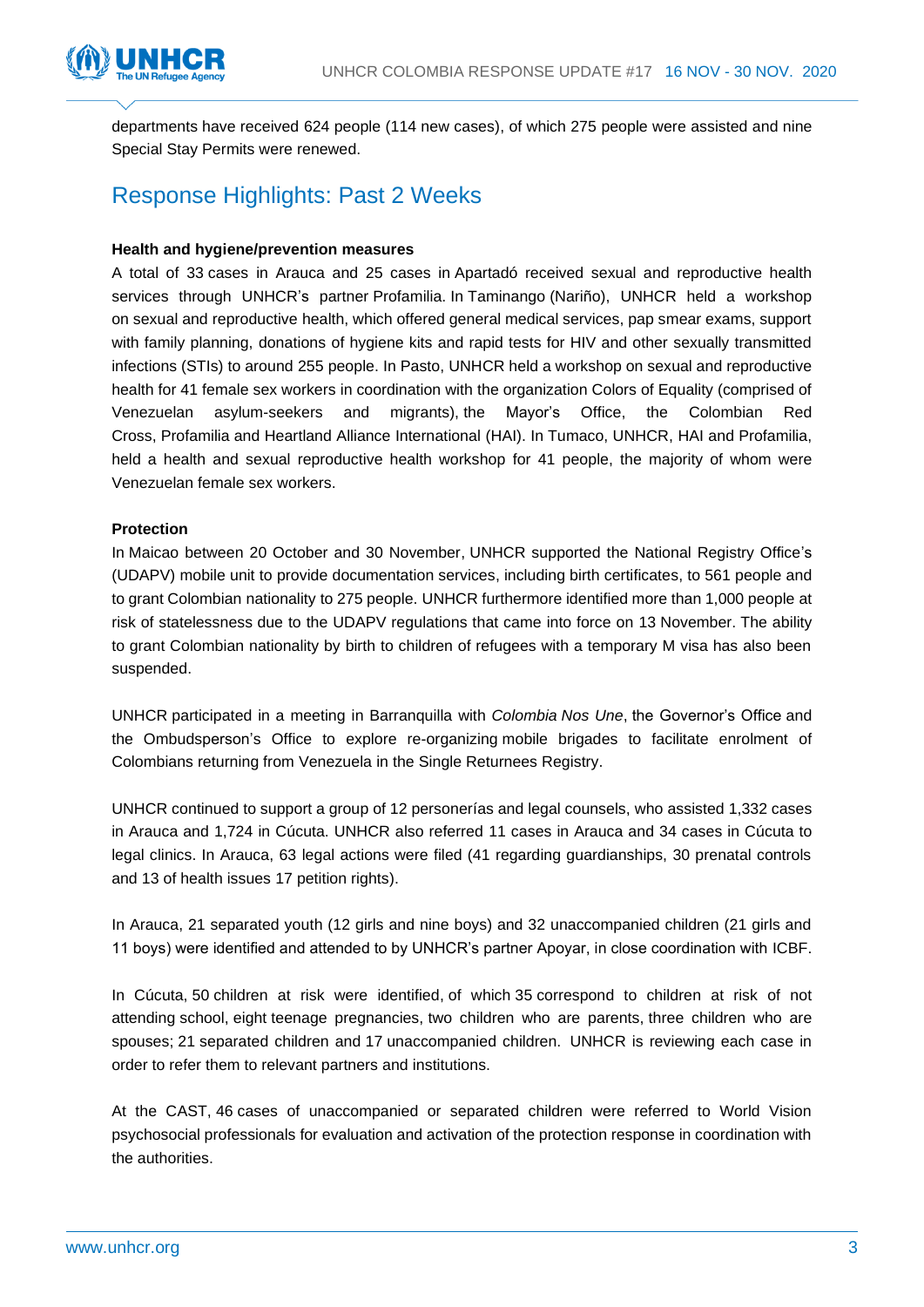

departments have received 624 people (114 new cases), of which 275 people were assisted and nine Special Stay Permits were renewed.

## Response Highlights: Past 2 Weeks

#### **Health and hygiene/prevention measures**

A total of 33 cases in Arauca and 25 cases in Apartadó received sexual and reproductive health services through UNHCR's partner Profamilia. In Taminango (Nariño), UNHCR held a workshop on sexual and reproductive health, which offered general medical services, pap smear exams, support with family planning, donations of hygiene kits and rapid tests for HIV and other sexually transmitted infections (STIs) to around 255 people. In Pasto, UNHCR held a workshop on sexual and reproductive health for 41 female sex workers in coordination with the organization Colors of Equality (comprised of Venezuelan asylum-seekers and migrants), the Mayor's Office, the Colombian Red Cross, Profamilia and Heartland Alliance International (HAI). In Tumaco, UNHCR, HAI and Profamilia, held a health and sexual reproductive health workshop for 41 people, the majority of whom were Venezuelan female sex workers.

#### **Protection**

In Maicao between 20 October and 30 November, UNHCR supported the National Registry Office's (UDAPV) mobile unit to provide documentation services, including birth certificates, to 561 people and to grant Colombian nationality to 275 people. UNHCR furthermore identified more than 1,000 people at risk of statelessness due to the UDAPV regulations that came into force on 13 November. The ability to grant Colombian nationality by birth to children of refugees with a temporary M visa has also been suspended.

UNHCR participated in a meeting in Barranquilla with *Colombia Nos Une*, the Governor's Office and the Ombudsperson's Office to explore re-organizing mobile brigades to facilitate enrolment of Colombians returning from Venezuela in the Single Returnees Registry.

UNHCR continued to support a group of 12 personerías and legal counsels, who assisted 1,332 cases in Arauca and 1,724 in Cúcuta. UNHCR also referred 11 cases in Arauca and 34 cases in Cúcuta to legal clinics. In Arauca, 63 legal actions were filed (41 regarding guardianships, 30 prenatal controls and 13 of health issues 17 petition rights).

In Arauca, 21 separated youth (12 girls and nine boys) and 32 unaccompanied children (21 girls and 11 boys) were identified and attended to by UNHCR's partner Apoyar, in close coordination with ICBF.

In Cúcuta, 50 children at risk were identified, of which 35 correspond to children at risk of not attending school, eight teenage pregnancies, two children who are parents, three children who are spouses; 21 separated children and 17 unaccompanied children. UNHCR is reviewing each case in order to refer them to relevant partners and institutions.

At the CAST, 46 cases of unaccompanied or separated children were referred to World Vision psychosocial professionals for evaluation and activation of the protection response in coordination with the authorities.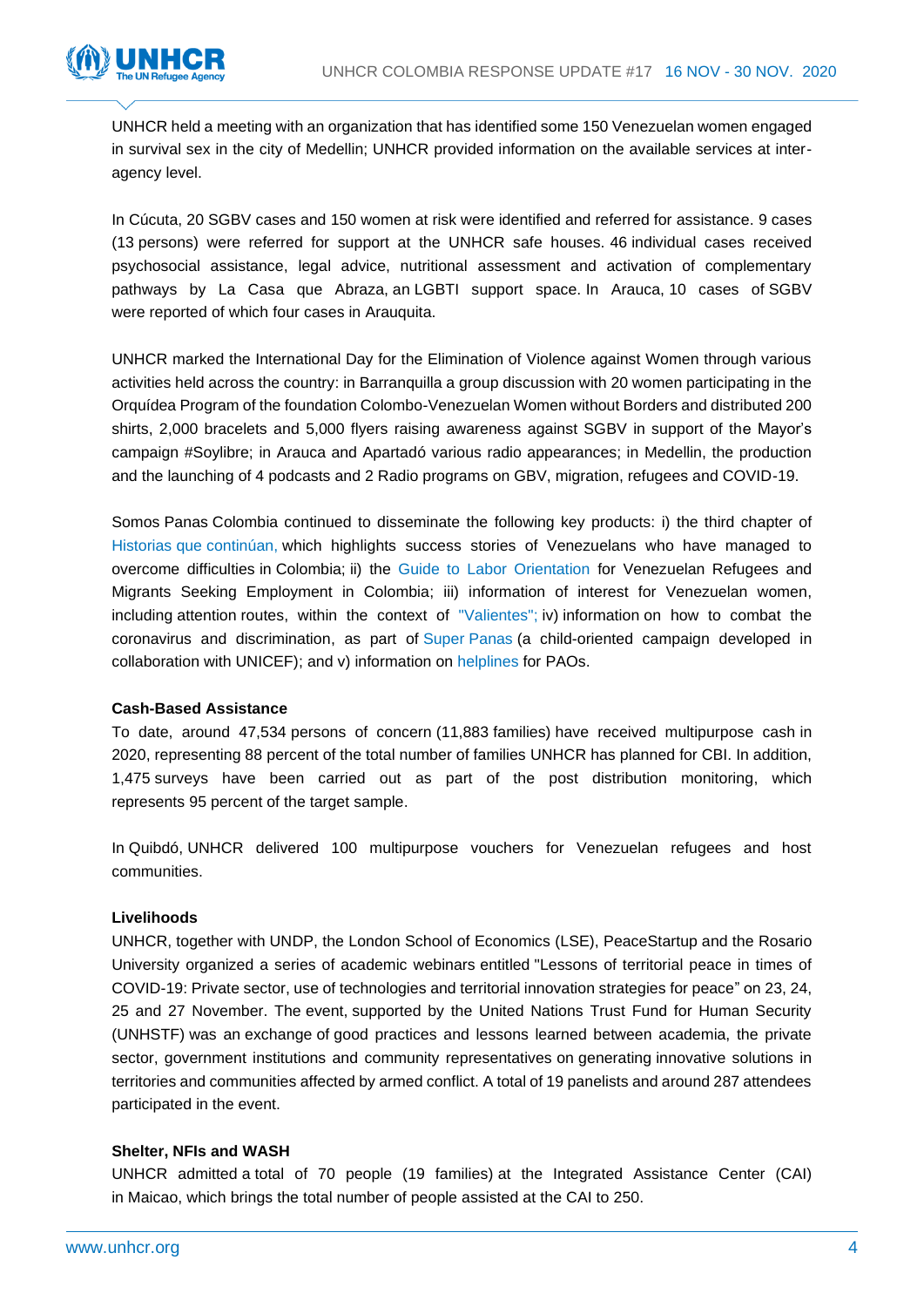

UNHCR held a meeting with an organization that has identified some 150 Venezuelan women engaged in survival sex in the city of Medellin; UNHCR provided information on the available services at interagency level.

In Cúcuta, 20 SGBV cases and 150 women at risk were identified and referred for assistance. 9 cases (13 persons) were referred for support at the UNHCR safe houses. 46 individual cases received psychosocial assistance, legal advice, nutritional assessment and activation of complementary pathways by La Casa que Abraza, an LGBTI support space. In Arauca, 10 cases of SGBV were reported of which four cases in Arauquita.

UNHCR marked the International Day for the Elimination of Violence against Women through various activities held across the country: in Barranquilla a group discussion with 20 women participating in the Orquídea Program of the foundation Colombo-Venezuelan Women without Borders and distributed 200 shirts, 2,000 bracelets and 5,000 flyers raising awareness against SGBV in support of the Mayor's campaign #Soylibre; in Arauca and Apartadó various radio appearances; in Medellin, the production and the launching of 4 podcasts and 2 Radio programs on GBV, migration, refugees and COVID-19.

Somos Panas Colombia continued to disseminate the following key products: i) the third chapter of Historias que [continúan,](https://twitter.com/SomosPanasCol/status/1330966854769270785?s=20) which highlights success stories of Venezuelans who have managed to overcome difficulties in Colombia; ii) the [Guide to Labor Orientation](https://twitter.com/SomosPanasCol/status/1332761174681608192?s=20) for Venezuelan Refugees and Migrants Seeking Employment in Colombia; iii) information of interest for Venezuelan women, including attention routes, within the context of ["Valientes";](https://twitter.com/ACNURamericas/status/1331772310110539776?s=20) iv) information on how to combat the coronavirus and discrimination, as part of Super [Panas](https://twitter.com/SomosPanasCol/status/1329863037742944264?s=20) (a child-oriented campaign developed in collaboration with UNICEF); and v) information on [helplines](https://twitter.com/SomosPanasCol/status/1334132569949036548?s=20) for PAOs.

#### **Cash-Based Assistance**

To date, around 47,534 persons of concern (11,883 families) have received multipurpose cash in 2020, representing 88 percent of the total number of families UNHCR has planned for CBI. In addition, 1,475 surveys have been carried out as part of the post distribution monitoring, which represents 95 percent of the target sample.

In Quibdó, UNHCR delivered 100 multipurpose vouchers for Venezuelan refugees and host communities.

#### **Livelihoods**

UNHCR, together with UNDP, the London School of Economics (LSE), PeaceStartup and the Rosario University organized a series of academic webinars entitled "Lessons of territorial peace in times of COVID-19: Private sector, use of technologies and territorial innovation strategies for peace" on 23, 24, 25 and 27 November. The event, supported by the United Nations Trust Fund for Human Security (UNHSTF) was an exchange of good practices and lessons learned between academia, the private sector, government institutions and community representatives on generating innovative solutions in territories and communities affected by armed conflict. A total of 19 panelists and around 287 attendees participated in the event.

#### **Shelter, NFIs and WASH**

UNHCR admitted a total of 70 people (19 families) at the Integrated Assistance Center (CAI) in Maicao, which brings the total number of people assisted at the CAI to 250.